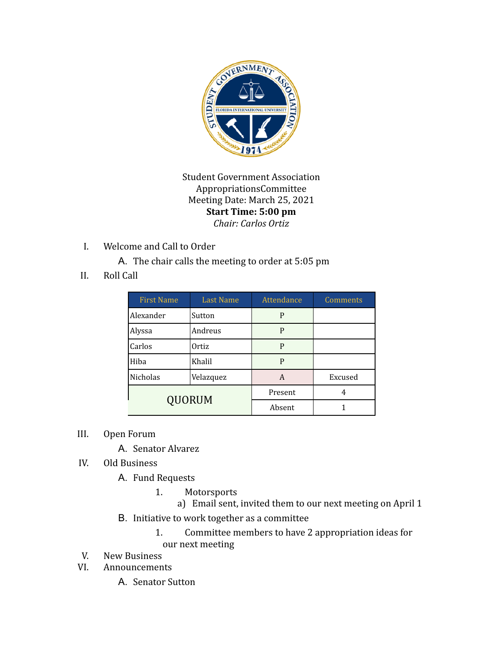

Student Government Association AppropriationsCommittee Meeting Date: March 25, 2021 **Start Time: 5:00 pm** *Chair: Carlos Ortiz*

I. Welcome and Call to Order

A. The chair calls the meeting to order at 5:05 pm

II. Roll Call

| <b>First Name</b> | <b>Last Name</b> | Attendance | Comments |
|-------------------|------------------|------------|----------|
| Alexander         | Sutton           | P          |          |
| Alyssa            | Andreus          | P          |          |
| Carlos            | Ortiz            | P          |          |
| Hiba              | Khalil           | P          |          |
| Nicholas          | Velazquez        | A          | Excused  |
| <b>QUORUM</b>     |                  | Present    | 4        |
|                   |                  | Absent     |          |

III. Open Forum

A. Senator Alvarez

- IV. Old Business
	- A. Fund Requests
		- 1. Motorsports

a) Email sent, invited them to our next meeting on April 1

- B. Initiative to work together as a committee
	- 1. Committee members to have 2 appropriation ideas for our next meeting
- V. New Business
- VI. Announcements
	- A. Senator Sutton